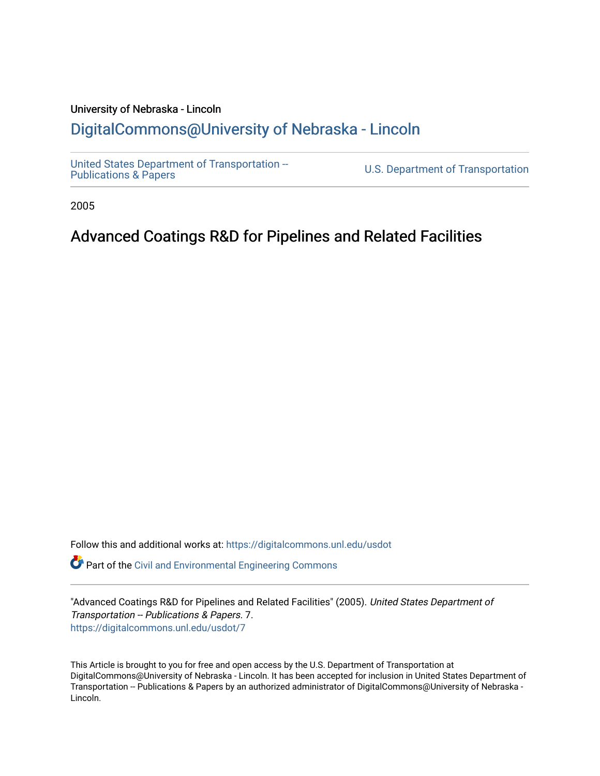## University of Nebraska - Lincoln [DigitalCommons@University of Nebraska - Lincoln](https://digitalcommons.unl.edu/)

[United States Department of Transportation --](https://digitalcommons.unl.edu/usdot)<br>Publications & Papers

U.S. Department of Transportation

2005

# Advanced Coatings R&D for Pipelines and Related Facilities

Follow this and additional works at: [https://digitalcommons.unl.edu/usdot](https://digitalcommons.unl.edu/usdot?utm_source=digitalcommons.unl.edu%2Fusdot%2F7&utm_medium=PDF&utm_campaign=PDFCoverPages) 

Part of the [Civil and Environmental Engineering Commons](http://network.bepress.com/hgg/discipline/251?utm_source=digitalcommons.unl.edu%2Fusdot%2F7&utm_medium=PDF&utm_campaign=PDFCoverPages)

"Advanced Coatings R&D for Pipelines and Related Facilities" (2005). United States Department of Transportation -- Publications & Papers. 7. [https://digitalcommons.unl.edu/usdot/7](https://digitalcommons.unl.edu/usdot/7?utm_source=digitalcommons.unl.edu%2Fusdot%2F7&utm_medium=PDF&utm_campaign=PDFCoverPages) 

This Article is brought to you for free and open access by the U.S. Department of Transportation at DigitalCommons@University of Nebraska - Lincoln. It has been accepted for inclusion in United States Department of Transportation -- Publications & Papers by an authorized administrator of DigitalCommons@University of Nebraska - Lincoln.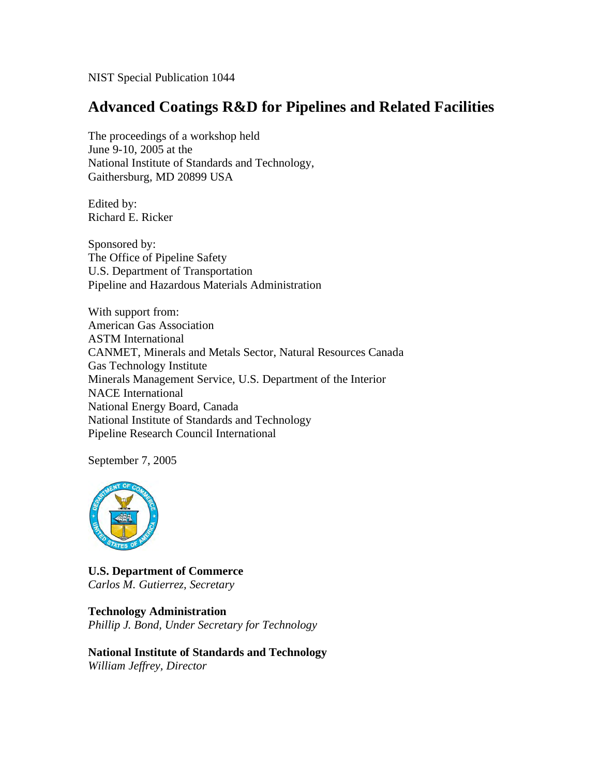NIST Special Publication 1044

## **Advanced Coatings R&D for Pipelines and Related Facilities**

The proceedings of a workshop held June 9-10, 2005 at the National Institute of Standards and Technology, Gaithersburg, MD 20899 USA

Edited by: Richard E. Ricker

Sponsored by: The Office of Pipeline Safety U.S. Department of Transportation Pipeline and Hazardous Materials Administration

With support from: American Gas Association ASTM International CANMET, Minerals and Metals Sector, Natural Resources Canada Gas Technology Institute Minerals Management Service, U.S. Department of the Interior NACE International National Energy Board, Canada National Institute of Standards and Technology Pipeline Research Council International

September 7, 2005



**U.S. Department of Commerce**  *Carlos M. Gutierrez, Secretary* 

**Technology Administration**  *Phillip J. Bond, Under Secretary for Technology* 

**National Institute of Standards and Technology**  *William Jeffrey, Director*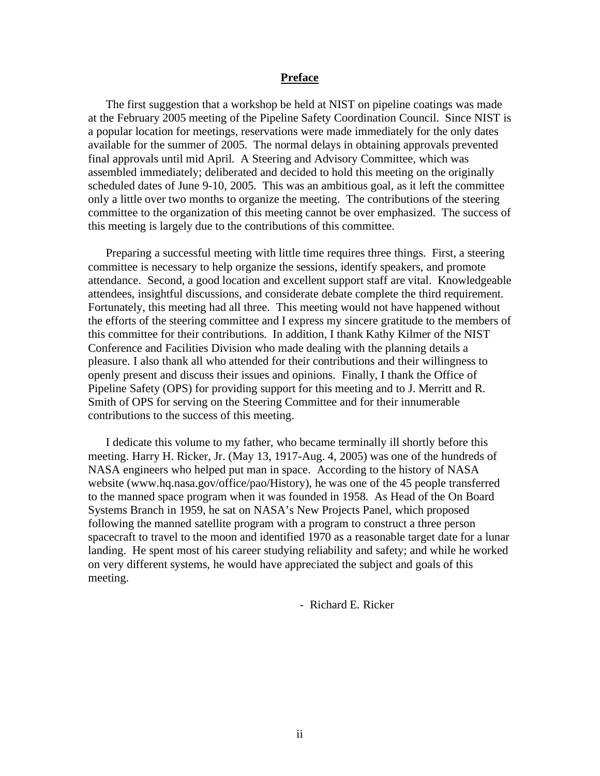#### **Preface**

 The first suggestion that a workshop be held at NIST on pipeline coatings was made at the February 2005 meeting of the Pipeline Safety Coordination Council. Since NIST is a popular location for meetings, reservations were made immediately for the only dates available for the summer of 2005. The normal delays in obtaining approvals prevented final approvals until mid April. A Steering and Advisory Committee, which was assembled immediately; deliberated and decided to hold this meeting on the originally scheduled dates of June 9-10, 2005. This was an ambitious goal, as it left the committee only a little over two months to organize the meeting. The contributions of the steering committee to the organization of this meeting cannot be over emphasized. The success of this meeting is largely due to the contributions of this committee.

 Preparing a successful meeting with little time requires three things. First, a steering committee is necessary to help organize the sessions, identify speakers, and promote attendance. Second, a good location and excellent support staff are vital. Knowledgeable attendees, insightful discussions, and considerate debate complete the third requirement. Fortunately, this meeting had all three. This meeting would not have happened without the efforts of the steering committee and I express my sincere gratitude to the members of this committee for their contributions. In addition, I thank Kathy Kilmer of the NIST Conference and Facilities Division who made dealing with the planning details a pleasure. I also thank all who attended for their contributions and their willingness to openly present and discuss their issues and opinions. Finally, I thank the Office of Pipeline Safety (OPS) for providing support for this meeting and to J. Merritt and R. Smith of OPS for serving on the Steering Committee and for their innumerable contributions to the success of this meeting.

 I dedicate this volume to my father, who became terminally ill shortly before this meeting. Harry H. Ricker, Jr. (May 13, 1917-Aug. 4, 2005) was one of the hundreds of NASA engineers who helped put man in space. According to the history of NASA website (www.hq.nasa.gov/office/pao/History), he was one of the 45 people transferred to the manned space program when it was founded in 1958. As Head of the On Board Systems Branch in 1959, he sat on NASA's New Projects Panel, which proposed following the manned satellite program with a program to construct a three person spacecraft to travel to the moon and identified 1970 as a reasonable target date for a lunar landing. He spent most of his career studying reliability and safety; and while he worked on very different systems, he would have appreciated the subject and goals of this meeting.

- Richard E. Ricker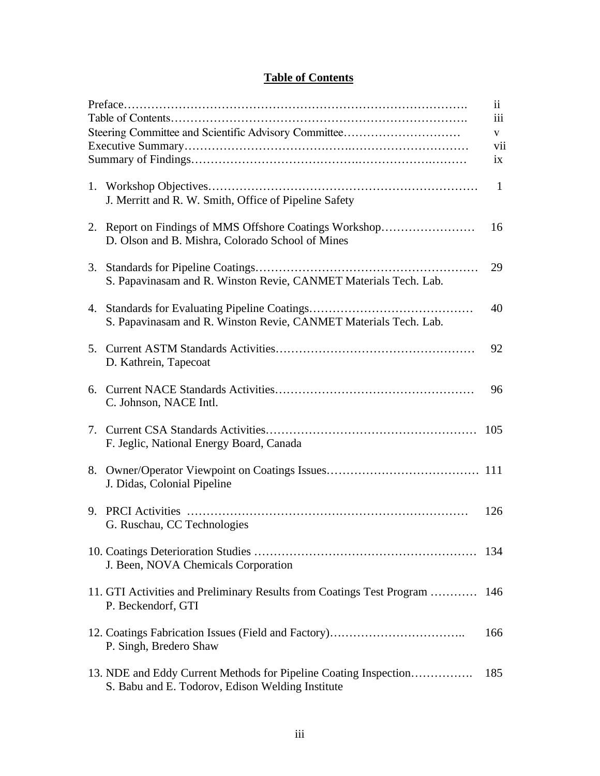## **Table of Contents**

| Steering Committee and Scientific Advisory Committee                                                                 | $\ddot{\mathbf{i}}$<br>iii  |
|----------------------------------------------------------------------------------------------------------------------|-----------------------------|
|                                                                                                                      | V<br>vii<br>$\overline{1}X$ |
| J. Merritt and R. W. Smith, Office of Pipeline Safety                                                                | $\mathbf{1}$                |
| 2. Report on Findings of MMS Offshore Coatings Workshop<br>D. Olson and B. Mishra, Colorado School of Mines          | 16                          |
| S. Papavinasam and R. Winston Revie, CANMET Materials Tech. Lab.                                                     | 29                          |
| S. Papavinasam and R. Winston Revie, CANMET Materials Tech. Lab.                                                     | 40                          |
| D. Kathrein, Tapecoat                                                                                                | 92                          |
| C. Johnson, NACE Intl.                                                                                               | 96                          |
| F. Jeglic, National Energy Board, Canada                                                                             |                             |
| J. Didas, Colonial Pipeline                                                                                          |                             |
| G. Ruschau, CC Technologies                                                                                          | 126                         |
| J. Been, NOVA Chemicals Corporation                                                                                  | 134                         |
| 11. GTI Activities and Preliminary Results from Coatings Test Program<br>P. Beckendorf, GTI                          | 146                         |
| P. Singh, Bredero Shaw                                                                                               | 166                         |
| 13. NDE and Eddy Current Methods for Pipeline Coating Inspection<br>S. Babu and E. Todorov, Edison Welding Institute | 185                         |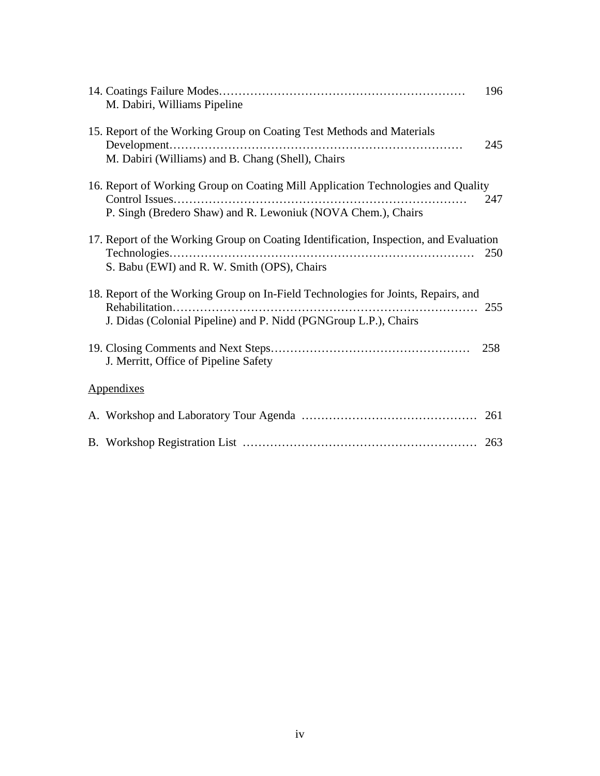| M. Dabiri, Williams Pipeline                                                                                                                          | 196 |
|-------------------------------------------------------------------------------------------------------------------------------------------------------|-----|
| 15. Report of the Working Group on Coating Test Methods and Materials                                                                                 | 245 |
| M. Dabiri (Williams) and B. Chang (Shell), Chairs                                                                                                     |     |
| 16. Report of Working Group on Coating Mill Application Technologies and Quality                                                                      | 247 |
| P. Singh (Bredero Shaw) and R. Lewoniuk (NOVA Chem.), Chairs                                                                                          |     |
| 17. Report of the Working Group on Coating Identification, Inspection, and Evaluation<br>Technologies<br>S. Babu (EWI) and R. W. Smith (OPS), Chairs  | 250 |
| 18. Report of the Working Group on In-Field Technologies for Joints, Repairs, and<br>J. Didas (Colonial Pipeline) and P. Nidd (PGNGroup L.P.), Chairs |     |
| J. Merritt, Office of Pipeline Safety                                                                                                                 | 258 |
| Appendixes                                                                                                                                            |     |
|                                                                                                                                                       |     |
|                                                                                                                                                       |     |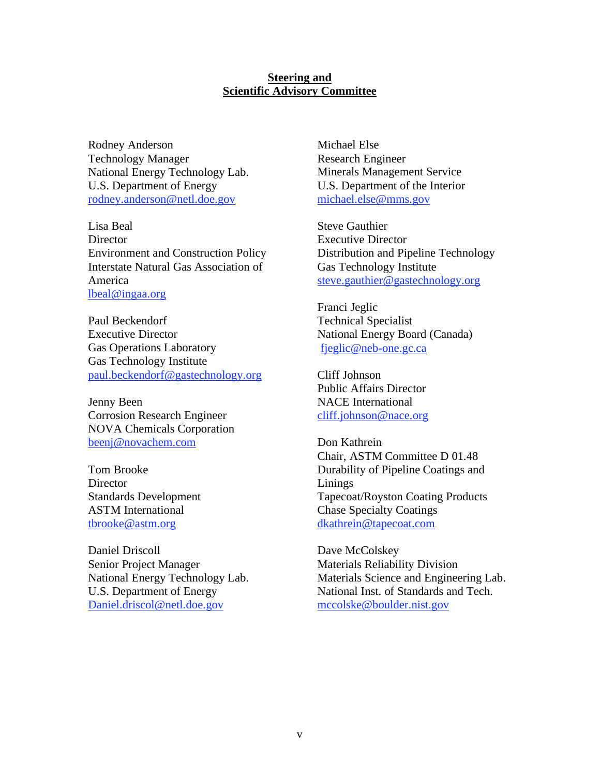### **Steering and Scientific Advisory Committee**

Rodney Anderson Technology Manager National Energy Technology Lab. U.S. Department of Energy rodney.anderson@netl.doe.gov

Lisa Beal **Director** Environment and Construction Policy Interstate Natural Gas Association of America lbeal@ingaa.org

Paul Beckendorf Executive Director Gas Operations Laboratory Gas Technology Institute paul.beckendorf@gastechnology.org

Jenny Been Corrosion Research Engineer NOVA Chemicals Corporation beenj@novachem.com

Tom Brooke **Director** Standards Development ASTM International tbrooke@astm.org

Daniel Driscoll Senior Project Manager National Energy Technology Lab. U.S. Department of Energy Daniel.driscol@netl.doe.gov

Michael Else Research Engineer Minerals Management Service U.S. Department of the Interior michael.else@mms.gov

Steve Gauthier Executive Director Distribution and Pipeline Technology Gas Technology Institute steve.gauthier@gastechnology.org

Franci Jeglic Technical Specialist National Energy Board (Canada) fjeglic@neb-one.gc.ca

Cliff Johnson Public Affairs Director NACE International cliff.johnson@nace.org

Don Kathrein Chair, ASTM Committee D 01.48 Durability of Pipeline Coatings and Linings Tapecoat/Royston Coating Products Chase Specialty Coatings dkathrein@tapecoat.com

Dave McColskey Materials Reliability Division Materials Science and Engineering Lab. National Inst. of Standards and Tech. mccolske@boulder.nist.gov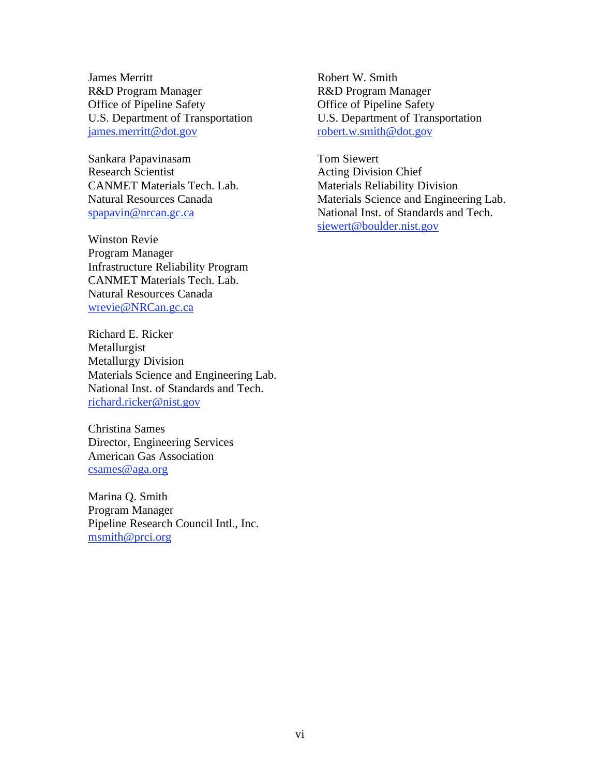James Merritt R&D Program Manager Office of Pipeline Safety U.S. Department of Transportation james.merritt@dot.gov

Sankara Papavinasam Research Scientist CANMET Materials Tech. Lab. Natural Resources Canada spapavin@nrcan.gc.ca

Winston Revie Program Manager Infrastructure Reliability Program CANMET Materials Tech. Lab. Natural Resources Canada wrevie@NRCan.gc.ca

Richard E. Ricker Metallurgist Metallurgy Division Materials Science and Engineering Lab. National Inst. of Standards and Tech. richard.ricker@nist.gov

Christina Sames Director, Engineering Services American Gas Association csames@aga.org

Marina Q. Smith Program Manager Pipeline Research Council Intl., Inc. msmith@prci.org

Robert W. Smith R&D Program Manager Office of Pipeline Safety U.S. Department of Transportation robert.w.smith@dot.gov

Tom Siewert Acting Division Chief Materials Reliability Division Materials Science and Engineering Lab. National Inst. of Standards and Tech. siewert@boulder.nist.gov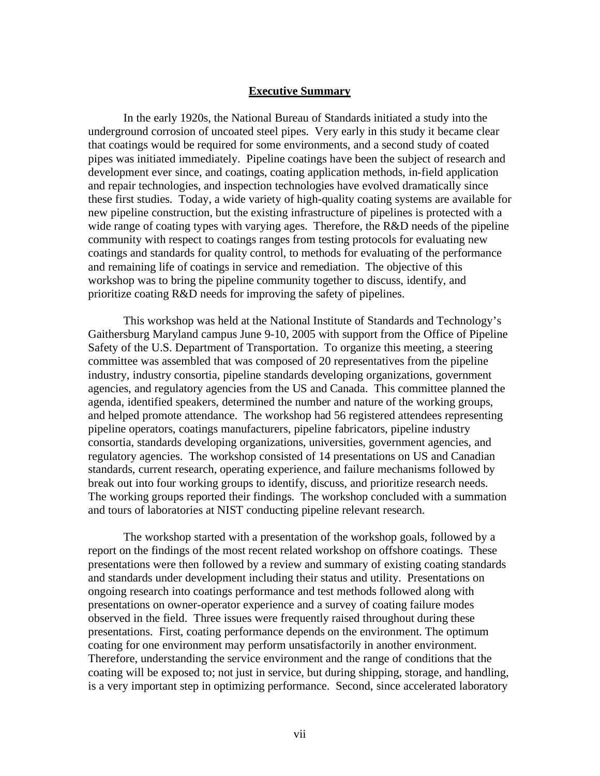#### **Executive Summary**

In the early 1920s, the National Bureau of Standards initiated a study into the underground corrosion of uncoated steel pipes. Very early in this study it became clear that coatings would be required for some environments, and a second study of coated pipes was initiated immediately. Pipeline coatings have been the subject of research and development ever since, and coatings, coating application methods, in-field application and repair technologies, and inspection technologies have evolved dramatically since these first studies. Today, a wide variety of high-quality coating systems are available for new pipeline construction, but the existing infrastructure of pipelines is protected with a wide range of coating types with varying ages. Therefore, the R&D needs of the pipeline community with respect to coatings ranges from testing protocols for evaluating new coatings and standards for quality control, to methods for evaluating of the performance and remaining life of coatings in service and remediation. The objective of this workshop was to bring the pipeline community together to discuss, identify, and prioritize coating R&D needs for improving the safety of pipelines.

This workshop was held at the National Institute of Standards and Technology's Gaithersburg Maryland campus June 9-10, 2005 with support from the Office of Pipeline Safety of the U.S. Department of Transportation. To organize this meeting, a steering committee was assembled that was composed of 20 representatives from the pipeline industry, industry consortia, pipeline standards developing organizations, government agencies, and regulatory agencies from the US and Canada. This committee planned the agenda, identified speakers, determined the number and nature of the working groups, and helped promote attendance. The workshop had 56 registered attendees representing pipeline operators, coatings manufacturers, pipeline fabricators, pipeline industry consortia, standards developing organizations, universities, government agencies, and regulatory agencies. The workshop consisted of 14 presentations on US and Canadian standards, current research, operating experience, and failure mechanisms followed by break out into four working groups to identify, discuss, and prioritize research needs. The working groups reported their findings. The workshop concluded with a summation and tours of laboratories at NIST conducting pipeline relevant research.

The workshop started with a presentation of the workshop goals, followed by a report on the findings of the most recent related workshop on offshore coatings. These presentations were then followed by a review and summary of existing coating standards and standards under development including their status and utility. Presentations on ongoing research into coatings performance and test methods followed along with presentations on owner-operator experience and a survey of coating failure modes observed in the field. Three issues were frequently raised throughout during these presentations. First, coating performance depends on the environment. The optimum coating for one environment may perform unsatisfactorily in another environment. Therefore, understanding the service environment and the range of conditions that the coating will be exposed to; not just in service, but during shipping, storage, and handling, is a very important step in optimizing performance. Second, since accelerated laboratory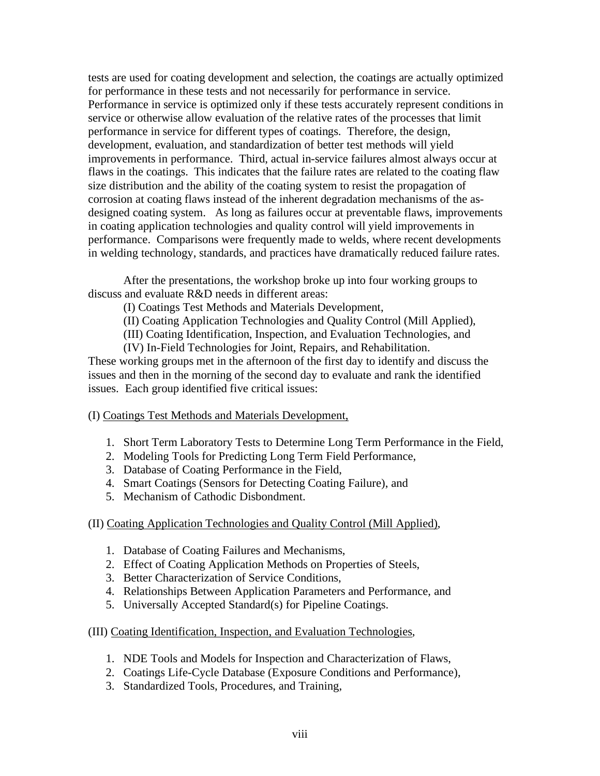tests are used for coating development and selection, the coatings are actually optimized for performance in these tests and not necessarily for performance in service. Performance in service is optimized only if these tests accurately represent conditions in service or otherwise allow evaluation of the relative rates of the processes that limit performance in service for different types of coatings. Therefore, the design, development, evaluation, and standardization of better test methods will yield improvements in performance. Third, actual in-service failures almost always occur at flaws in the coatings. This indicates that the failure rates are related to the coating flaw size distribution and the ability of the coating system to resist the propagation of corrosion at coating flaws instead of the inherent degradation mechanisms of the asdesigned coating system. As long as failures occur at preventable flaws, improvements in coating application technologies and quality control will yield improvements in performance. Comparisons were frequently made to welds, where recent developments in welding technology, standards, and practices have dramatically reduced failure rates.

After the presentations, the workshop broke up into four working groups to discuss and evaluate R&D needs in different areas:

(I) Coatings Test Methods and Materials Development,

(II) Coating Application Technologies and Quality Control (Mill Applied),

(III) Coating Identification, Inspection, and Evaluation Technologies, and

(IV) In-Field Technologies for Joint, Repairs, and Rehabilitation.

These working groups met in the afternoon of the first day to identify and discuss the issues and then in the morning of the second day to evaluate and rank the identified issues. Each group identified five critical issues:

- (I) Coatings Test Methods and Materials Development,
	- 1. Short Term Laboratory Tests to Determine Long Term Performance in the Field,
	- 2. Modeling Tools for Predicting Long Term Field Performance,
	- 3. Database of Coating Performance in the Field,
	- 4. Smart Coatings (Sensors for Detecting Coating Failure), and
	- 5. Mechanism of Cathodic Disbondment.

## (II) Coating Application Technologies and Quality Control (Mill Applied),

- 1. Database of Coating Failures and Mechanisms,
- 2. Effect of Coating Application Methods on Properties of Steels,
- 3. Better Characterization of Service Conditions,
- 4. Relationships Between Application Parameters and Performance, and
- 5. Universally Accepted Standard(s) for Pipeline Coatings.

(III) Coating Identification, Inspection, and Evaluation Technologies,

- 1. NDE Tools and Models for Inspection and Characterization of Flaws,
- 2. Coatings Life-Cycle Database (Exposure Conditions and Performance),
- 3. Standardized Tools, Procedures, and Training,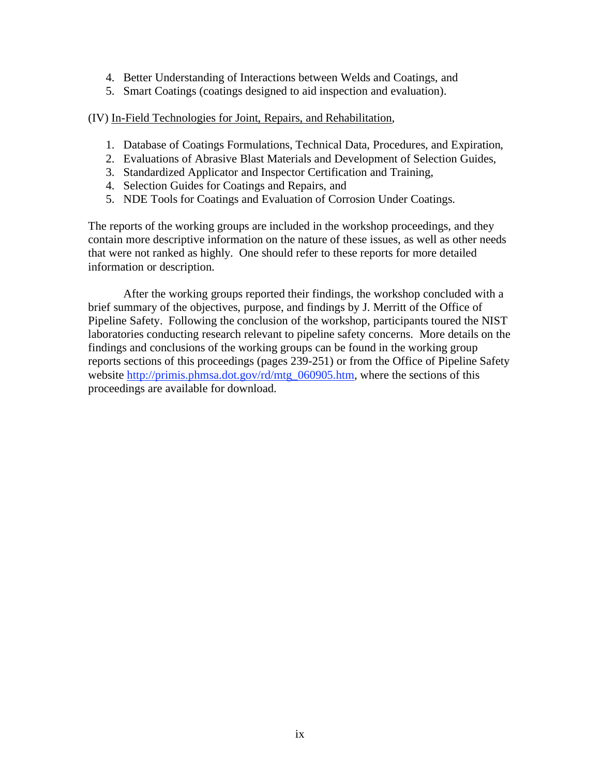- 4. Better Understanding of Interactions between Welds and Coatings, and
- 5. Smart Coatings (coatings designed to aid inspection and evaluation).

(IV) In-Field Technologies for Joint, Repairs, and Rehabilitation,

- 1. Database of Coatings Formulations, Technical Data, Procedures, and Expiration,
- 2. Evaluations of Abrasive Blast Materials and Development of Selection Guides,
- 3. Standardized Applicator and Inspector Certification and Training,
- 4. Selection Guides for Coatings and Repairs, and
- 5. NDE Tools for Coatings and Evaluation of Corrosion Under Coatings.

The reports of the working groups are included in the workshop proceedings, and they contain more descriptive information on the nature of these issues, as well as other needs that were not ranked as highly. One should refer to these reports for more detailed information or description.

After the working groups reported their findings, the workshop concluded with a brief summary of the objectives, purpose, and findings by J. Merritt of the Office of Pipeline Safety. Following the conclusion of the workshop, participants toured the NIST laboratories conducting research relevant to pipeline safety concerns. More details on the findings and conclusions of the working groups can be found in the working group reports sections of this proceedings (pages 239-251) or from the Office of Pipeline Safety website http://primis.phmsa.dot.gov/rd/mtg\_060905.htm, where the sections of this proceedings are available for download.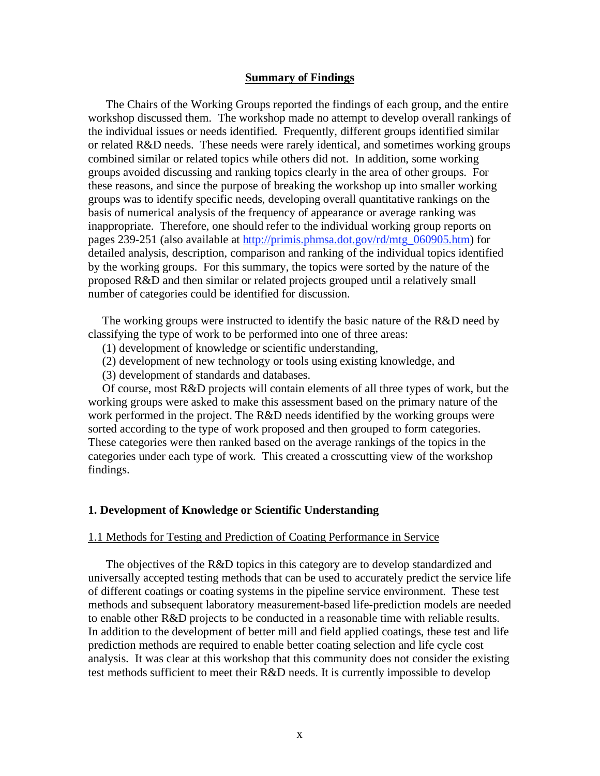#### **Summary of Findings**

 The Chairs of the Working Groups reported the findings of each group, and the entire workshop discussed them. The workshop made no attempt to develop overall rankings of the individual issues or needs identified. Frequently, different groups identified similar or related R&D needs. These needs were rarely identical, and sometimes working groups combined similar or related topics while others did not. In addition, some working groups avoided discussing and ranking topics clearly in the area of other groups. For these reasons, and since the purpose of breaking the workshop up into smaller working groups was to identify specific needs, developing overall quantitative rankings on the basis of numerical analysis of the frequency of appearance or average ranking was inappropriate. Therefore, one should refer to the individual working group reports on pages 239-251 (also available at http://primis.phmsa.dot.gov/rd/mtg\_060905.htm) for detailed analysis, description, comparison and ranking of the individual topics identified by the working groups. For this summary, the topics were sorted by the nature of the proposed R&D and then similar or related projects grouped until a relatively small number of categories could be identified for discussion.

The working groups were instructed to identify the basic nature of the R&D need by classifying the type of work to be performed into one of three areas:

- (1) development of knowledge or scientific understanding,
- (2) development of new technology or tools using existing knowledge, and
- (3) development of standards and databases.

Of course, most R&D projects will contain elements of all three types of work, but the working groups were asked to make this assessment based on the primary nature of the work performed in the project. The R&D needs identified by the working groups were sorted according to the type of work proposed and then grouped to form categories. These categories were then ranked based on the average rankings of the topics in the categories under each type of work. This created a crosscutting view of the workshop findings.

#### **1. Development of Knowledge or Scientific Understanding**

#### 1.1 Methods for Testing and Prediction of Coating Performance in Service

 The objectives of the R&D topics in this category are to develop standardized and universally accepted testing methods that can be used to accurately predict the service life of different coatings or coating systems in the pipeline service environment. These test methods and subsequent laboratory measurement-based life-prediction models are needed to enable other R&D projects to be conducted in a reasonable time with reliable results. In addition to the development of better mill and field applied coatings, these test and life prediction methods are required to enable better coating selection and life cycle cost analysis. It was clear at this workshop that this community does not consider the existing test methods sufficient to meet their R&D needs. It is currently impossible to develop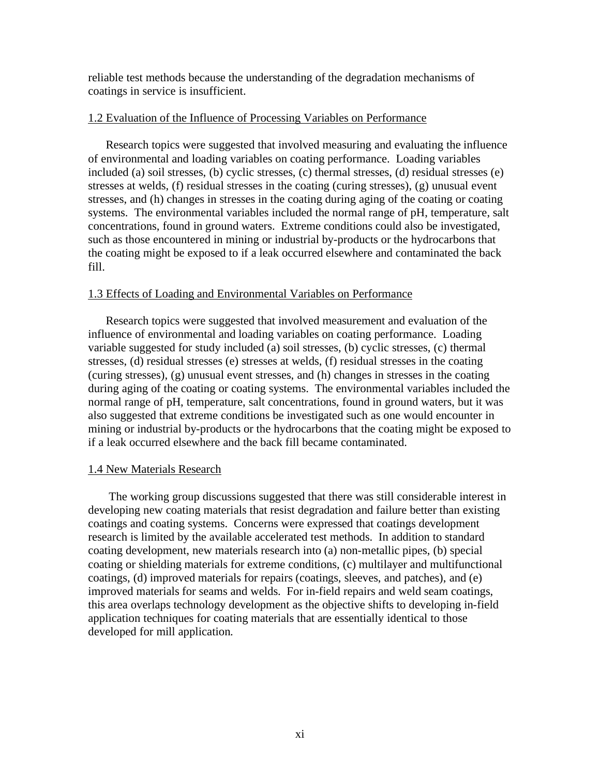reliable test methods because the understanding of the degradation mechanisms of coatings in service is insufficient.

#### 1.2 Evaluation of the Influence of Processing Variables on Performance

 Research topics were suggested that involved measuring and evaluating the influence of environmental and loading variables on coating performance. Loading variables included (a) soil stresses, (b) cyclic stresses, (c) thermal stresses, (d) residual stresses (e) stresses at welds, (f) residual stresses in the coating (curing stresses), (g) unusual event stresses, and (h) changes in stresses in the coating during aging of the coating or coating systems. The environmental variables included the normal range of pH, temperature, salt concentrations, found in ground waters. Extreme conditions could also be investigated, such as those encountered in mining or industrial by-products or the hydrocarbons that the coating might be exposed to if a leak occurred elsewhere and contaminated the back fill.

#### 1.3 Effects of Loading and Environmental Variables on Performance

 Research topics were suggested that involved measurement and evaluation of the influence of environmental and loading variables on coating performance. Loading variable suggested for study included (a) soil stresses, (b) cyclic stresses, (c) thermal stresses, (d) residual stresses (e) stresses at welds, (f) residual stresses in the coating (curing stresses), (g) unusual event stresses, and (h) changes in stresses in the coating during aging of the coating or coating systems. The environmental variables included the normal range of pH, temperature, salt concentrations, found in ground waters, but it was also suggested that extreme conditions be investigated such as one would encounter in mining or industrial by-products or the hydrocarbons that the coating might be exposed to if a leak occurred elsewhere and the back fill became contaminated.

#### 1.4 New Materials Research

 The working group discussions suggested that there was still considerable interest in developing new coating materials that resist degradation and failure better than existing coatings and coating systems. Concerns were expressed that coatings development research is limited by the available accelerated test methods. In addition to standard coating development, new materials research into (a) non-metallic pipes, (b) special coating or shielding materials for extreme conditions, (c) multilayer and multifunctional coatings, (d) improved materials for repairs (coatings, sleeves, and patches), and (e) improved materials for seams and welds. For in-field repairs and weld seam coatings, this area overlaps technology development as the objective shifts to developing in-field application techniques for coating materials that are essentially identical to those developed for mill application.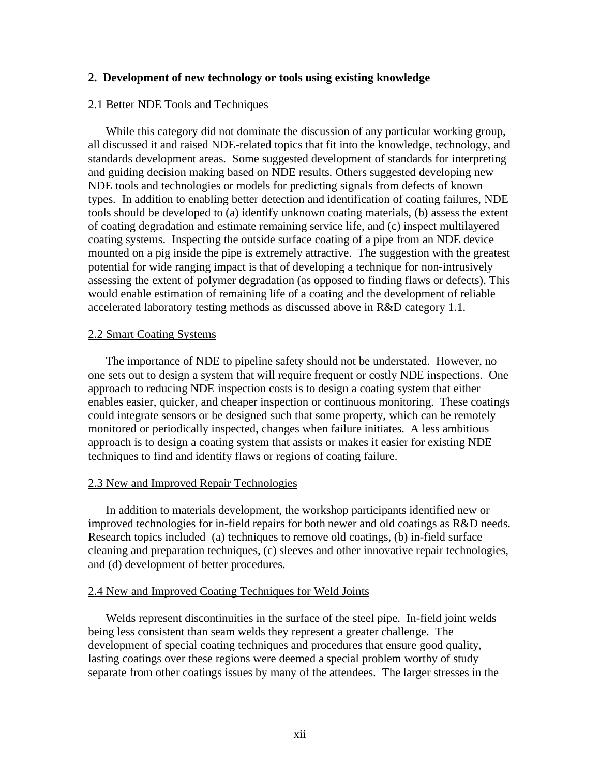#### **2. Development of new technology or tools using existing knowledge**

#### 2.1 Better NDE Tools and Techniques

 While this category did not dominate the discussion of any particular working group, all discussed it and raised NDE-related topics that fit into the knowledge, technology, and standards development areas. Some suggested development of standards for interpreting and guiding decision making based on NDE results. Others suggested developing new NDE tools and technologies or models for predicting signals from defects of known types. In addition to enabling better detection and identification of coating failures, NDE tools should be developed to (a) identify unknown coating materials, (b) assess the extent of coating degradation and estimate remaining service life, and (c) inspect multilayered coating systems. Inspecting the outside surface coating of a pipe from an NDE device mounted on a pig inside the pipe is extremely attractive. The suggestion with the greatest potential for wide ranging impact is that of developing a technique for non-intrusively assessing the extent of polymer degradation (as opposed to finding flaws or defects). This would enable estimation of remaining life of a coating and the development of reliable accelerated laboratory testing methods as discussed above in R&D category 1.1.

#### 2.2 Smart Coating Systems

 The importance of NDE to pipeline safety should not be understated. However, no one sets out to design a system that will require frequent or costly NDE inspections. One approach to reducing NDE inspection costs is to design a coating system that either enables easier, quicker, and cheaper inspection or continuous monitoring. These coatings could integrate sensors or be designed such that some property, which can be remotely monitored or periodically inspected, changes when failure initiates. A less ambitious approach is to design a coating system that assists or makes it easier for existing NDE techniques to find and identify flaws or regions of coating failure.

#### 2.3 New and Improved Repair Technologies

 In addition to materials development, the workshop participants identified new or improved technologies for in-field repairs for both newer and old coatings as R&D needs. Research topics included (a) techniques to remove old coatings, (b) in-field surface cleaning and preparation techniques, (c) sleeves and other innovative repair technologies, and (d) development of better procedures.

#### 2.4 New and Improved Coating Techniques for Weld Joints

 Welds represent discontinuities in the surface of the steel pipe. In-field joint welds being less consistent than seam welds they represent a greater challenge. The development of special coating techniques and procedures that ensure good quality, lasting coatings over these regions were deemed a special problem worthy of study separate from other coatings issues by many of the attendees. The larger stresses in the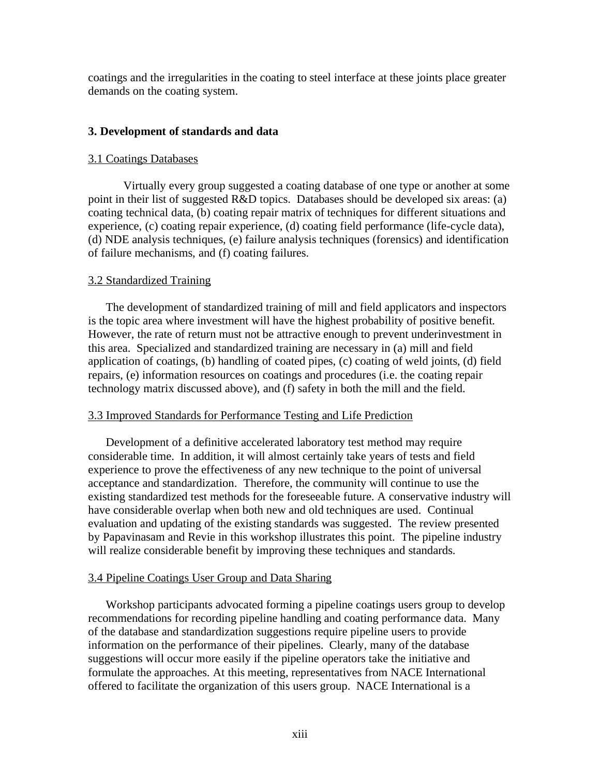coatings and the irregularities in the coating to steel interface at these joints place greater demands on the coating system.

### **3. Development of standards and data**

#### 3.1 Coatings Databases

 Virtually every group suggested a coating database of one type or another at some point in their list of suggested R&D topics. Databases should be developed six areas: (a) coating technical data, (b) coating repair matrix of techniques for different situations and experience, (c) coating repair experience, (d) coating field performance (life-cycle data), (d) NDE analysis techniques, (e) failure analysis techniques (forensics) and identification of failure mechanisms, and (f) coating failures.

#### 3.2 Standardized Training

 The development of standardized training of mill and field applicators and inspectors is the topic area where investment will have the highest probability of positive benefit. However, the rate of return must not be attractive enough to prevent underinvestment in this area. Specialized and standardized training are necessary in (a) mill and field application of coatings, (b) handling of coated pipes, (c) coating of weld joints, (d) field repairs, (e) information resources on coatings and procedures (i.e. the coating repair technology matrix discussed above), and (f) safety in both the mill and the field.

#### 3.3 Improved Standards for Performance Testing and Life Prediction

 Development of a definitive accelerated laboratory test method may require considerable time. In addition, it will almost certainly take years of tests and field experience to prove the effectiveness of any new technique to the point of universal acceptance and standardization. Therefore, the community will continue to use the existing standardized test methods for the foreseeable future. A conservative industry will have considerable overlap when both new and old techniques are used. Continual evaluation and updating of the existing standards was suggested. The review presented by Papavinasam and Revie in this workshop illustrates this point. The pipeline industry will realize considerable benefit by improving these techniques and standards.

## 3.4 Pipeline Coatings User Group and Data Sharing

 Workshop participants advocated forming a pipeline coatings users group to develop recommendations for recording pipeline handling and coating performance data. Many of the database and standardization suggestions require pipeline users to provide information on the performance of their pipelines. Clearly, many of the database suggestions will occur more easily if the pipeline operators take the initiative and formulate the approaches. At this meeting, representatives from NACE International offered to facilitate the organization of this users group. NACE International is a